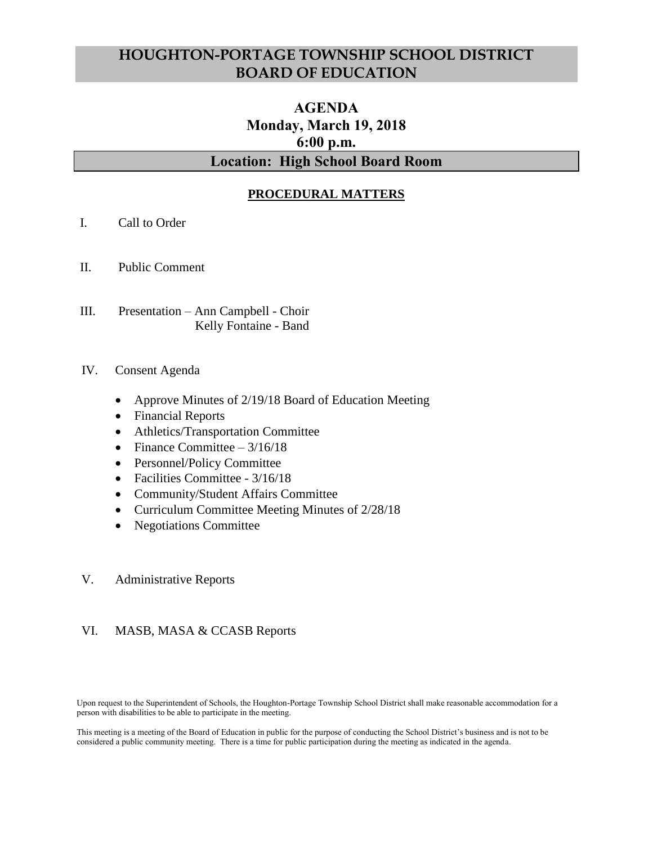# **HOUGHTON-PORTAGE TOWNSHIP SCHOOL DISTRICT BOARD OF EDUCATION**

# **AGENDA Monday, March 19, 2018 6:00 p.m. Location: High School Board Room**

## **PROCEDURAL MATTERS**

- I. Call to Order
- II. Public Comment
- III. Presentation Ann Campbell Choir Kelly Fontaine - Band
- IV. Consent Agenda
	- Approve Minutes of 2/19/18 Board of Education Meeting
	- Financial Reports
	- Athletics/Transportation Committee
	- Finance Committee  $-3/16/18$
	- Personnel/Policy Committee
	- Facilities Committee 3/16/18
	- Community/Student Affairs Committee
	- Curriculum Committee Meeting Minutes of 2/28/18
	- Negotiations Committee
- V. Administrative Reports

#### VI. MASB, MASA & CCASB Reports

Upon request to the Superintendent of Schools, the Houghton-Portage Township School District shall make reasonable accommodation for a person with disabilities to be able to participate in the meeting.

This meeting is a meeting of the Board of Education in public for the purpose of conducting the School District's business and is not to be considered a public community meeting. There is a time for public participation during the meeting as indicated in the agenda.